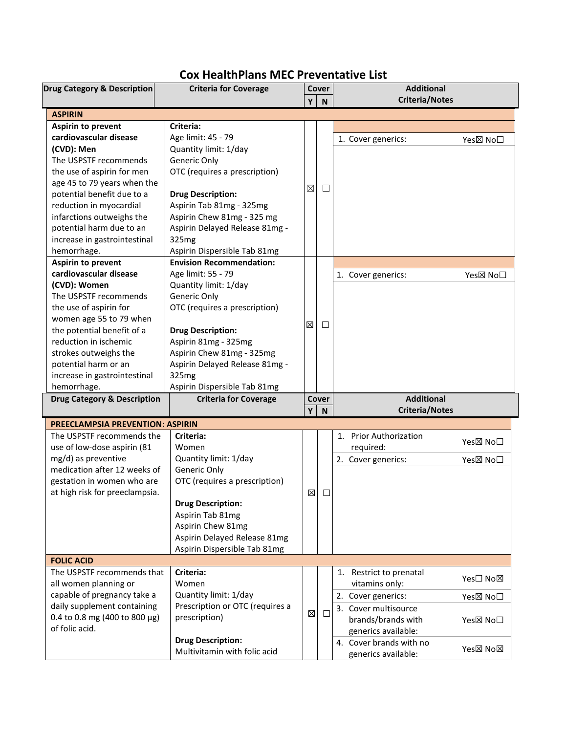## **Cox HealthPlans MEC Preventative List**

| <b>Drug Category &amp; Description</b> | <b>Criteria for Coverage</b>                             |             | Cover        | <b>Additional</b>                              |                       |  |
|----------------------------------------|----------------------------------------------------------|-------------|--------------|------------------------------------------------|-----------------------|--|
|                                        |                                                          | Y           | $\mathsf{N}$ | <b>Criteria/Notes</b>                          |                       |  |
| <b>ASPIRIN</b>                         |                                                          |             |              |                                                |                       |  |
| Aspirin to prevent                     | Criteria:                                                |             |              |                                                |                       |  |
| cardiovascular disease                 | Age limit: 45 - 79                                       |             |              | 1. Cover generics:                             | Yes⊠ No□              |  |
| (CVD): Men                             | Quantity limit: 1/day                                    |             |              |                                                |                       |  |
| The USPSTF recommends                  | Generic Only                                             |             |              |                                                |                       |  |
| the use of aspirin for men             | OTC (requires a prescription)                            |             |              |                                                |                       |  |
| age 45 to 79 years when the            |                                                          |             |              |                                                |                       |  |
| potential benefit due to a             | <b>Drug Description:</b>                                 | $\boxtimes$ | $\Box$       |                                                |                       |  |
| reduction in myocardial                | Aspirin Tab 81mg - 325mg                                 |             |              |                                                |                       |  |
| infarctions outweighs the              | Aspirin Chew 81mg - 325 mg                               |             |              |                                                |                       |  |
| potential harm due to an               | Aspirin Delayed Release 81mg -                           |             |              |                                                |                       |  |
| increase in gastrointestinal           | 325mg                                                    |             |              |                                                |                       |  |
| hemorrhage.                            | Aspirin Dispersible Tab 81mg                             |             |              |                                                |                       |  |
| <b>Aspirin to prevent</b>              | <b>Envision Recommendation:</b>                          |             |              |                                                |                       |  |
| cardiovascular disease                 | Age limit: 55 - 79                                       |             |              | 1. Cover generics:                             | Yes⊠ No <sup>[]</sup> |  |
| (CVD): Women                           | Quantity limit: 1/day                                    |             |              |                                                |                       |  |
| The USPSTF recommends                  | Generic Only                                             |             |              |                                                |                       |  |
| the use of aspirin for                 | OTC (requires a prescription)                            |             |              |                                                |                       |  |
| women age 55 to 79 when                |                                                          |             |              |                                                |                       |  |
| the potential benefit of a             | <b>Drug Description:</b>                                 | X           | □            |                                                |                       |  |
| reduction in ischemic                  | Aspirin 81mg - 325mg                                     |             |              |                                                |                       |  |
| strokes outweighs the                  | Aspirin Chew 81mg - 325mg                                |             |              |                                                |                       |  |
| potential harm or an                   | Aspirin Delayed Release 81mg -                           |             |              |                                                |                       |  |
|                                        |                                                          |             |              |                                                |                       |  |
| increase in gastrointestinal           | 325mg                                                    |             |              |                                                |                       |  |
| hemorrhage.                            | Aspirin Dispersible Tab 81mg                             |             |              |                                                |                       |  |
| <b>Drug Category &amp; Description</b> | <b>Criteria for Coverage</b>                             |             | Cover        | <b>Additional</b>                              |                       |  |
|                                        |                                                          | Y           | N            | <b>Criteria/Notes</b>                          |                       |  |
| PREECLAMPSIA PREVENTION: ASPIRIN       |                                                          |             |              |                                                |                       |  |
| The USPSTF recommends the              | Criteria:                                                |             |              | 1. Prior Authorization                         |                       |  |
| use of low-dose aspirin (81            | Women                                                    |             |              | required:                                      | Yes⊠ No□              |  |
| mg/d) as preventive                    | Quantity limit: 1/day                                    |             |              | 2. Cover generics:                             | Yes⊠ No□              |  |
| medication after 12 weeks of           | Generic Only                                             |             |              |                                                |                       |  |
| gestation in women who are             | OTC (requires a prescription)                            |             |              |                                                |                       |  |
| at high risk for preeclampsia.         |                                                          | X           | $\Box$       |                                                |                       |  |
|                                        | <b>Drug Description:</b>                                 |             |              |                                                |                       |  |
|                                        | Aspirin Tab 81mg                                         |             |              |                                                |                       |  |
|                                        | Aspirin Chew 81mg                                        |             |              |                                                |                       |  |
|                                        | Aspirin Delayed Release 81mg                             |             |              |                                                |                       |  |
|                                        | Aspirin Dispersible Tab 81mg                             |             |              |                                                |                       |  |
| <b>FOLIC ACID</b>                      |                                                          |             |              |                                                |                       |  |
| The USPSTF recommends that             | Criteria:                                                |             |              | 1.<br>Restrict to prenatal                     | Yes□ No⊠              |  |
| all women planning or                  | Women                                                    |             |              | vitamins only:                                 |                       |  |
| capable of pregnancy take a            | Quantity limit: 1/day                                    |             |              | 2. Cover generics:                             | Yes⊠ No□              |  |
| daily supplement containing            | Prescription or OTC (requires a                          | X           | □            | 3. Cover multisource                           |                       |  |
| 0.4 to 0.8 mg (400 to 800 $\mu$ g)     | prescription)                                            |             |              | brands/brands with                             | Yes⊠ No□              |  |
| of folic acid.                         |                                                          |             |              | generics available:                            |                       |  |
|                                        | <b>Drug Description:</b><br>Multivitamin with folic acid |             |              | 4. Cover brands with no<br>generics available: | Yes⊠ No⊠              |  |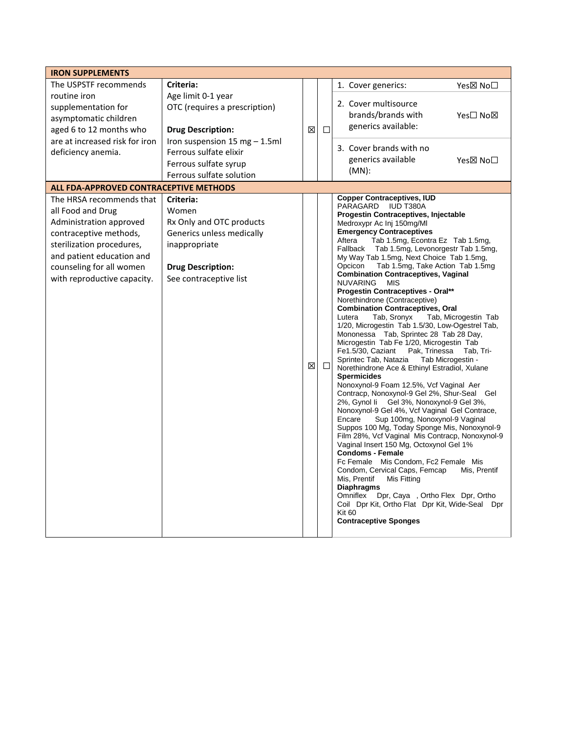| <b>IRON SUPPLEMENTS</b>                |                               |             |             |                                                                                                 |  |  |
|----------------------------------------|-------------------------------|-------------|-------------|-------------------------------------------------------------------------------------------------|--|--|
| The USPSTF recommends                  | Criteria:                     |             |             | 1. Cover generics:<br>Yes⊠ No□                                                                  |  |  |
| routine iron                           | Age limit 0-1 year            |             |             |                                                                                                 |  |  |
| supplementation for                    | OTC (requires a prescription) |             |             | 2. Cover multisource                                                                            |  |  |
| asymptomatic children                  |                               |             |             | brands/brands with<br>Yes□ No⊠                                                                  |  |  |
| aged 6 to 12 months who                | <b>Drug Description:</b>      |             | $\Box$<br>X | generics available:                                                                             |  |  |
| are at increased risk for iron         | Iron suspension 15 mg - 1.5ml |             |             | 3. Cover brands with no                                                                         |  |  |
| deficiency anemia.                     | Ferrous sulfate elixir        |             |             | generics available<br>Yes⊠ No□                                                                  |  |  |
|                                        | Ferrous sulfate syrup         |             |             | $(MN)$ :                                                                                        |  |  |
|                                        | Ferrous sulfate solution      |             |             |                                                                                                 |  |  |
| ALL FDA-APPROVED CONTRACEPTIVE METHODS |                               |             |             |                                                                                                 |  |  |
| The HRSA recommends that               | Criteria:                     |             |             | <b>Copper Contraceptives, IUD</b><br>PARAGARD<br><b>IUD T380A</b>                               |  |  |
| all Food and Drug                      | Women                         |             |             | Progestin Contraceptives, Injectable                                                            |  |  |
| Administration approved                | Rx Only and OTC products      |             |             | Medroxypr Ac Inj 150mg/MI                                                                       |  |  |
| contraceptive methods,                 | Generics unless medically     |             |             | <b>Emergency Contraceptives</b><br>Tab 1.5mg, Econtra Ez Tab 1.5mg,<br>Aftera                   |  |  |
| sterilization procedures,              | inappropriate                 |             |             | Fallback Tab 1.5mg, Levonorgestr Tab 1.5mg,                                                     |  |  |
| and patient education and              |                               |             |             | My Way Tab 1.5mg, Next Choice Tab 1.5mg,<br>Tab 1.5mg, Take Action Tab 1.5mg<br>Opcicon         |  |  |
| counseling for all women               | <b>Drug Description:</b>      |             |             | <b>Combination Contraceptives, Vaginal</b>                                                      |  |  |
| with reproductive capacity.            | See contraceptive list        |             |             | <b>NUVARING</b><br><b>MIS</b>                                                                   |  |  |
|                                        |                               |             |             | <b>Progestin Contraceptives - Oral**</b>                                                        |  |  |
|                                        |                               |             |             | Norethindrone (Contraceptive)<br><b>Combination Contraceptives, Oral</b>                        |  |  |
|                                        |                               |             |             | Tab, Sronyx<br>Lutera<br>Tab, Microgestin Tab                                                   |  |  |
|                                        |                               |             |             | 1/20, Microgestin Tab 1.5/30, Low-Ogestrel Tab,<br>Mononessa Tab, Sprintec 28 Tab 28 Day,       |  |  |
|                                        |                               |             |             | Microgestin Tab Fe 1/20, Microgestin Tab                                                        |  |  |
|                                        |                               |             |             | Pak, Trinessa<br>Fe1.5/30, Caziant<br>Tab, Tri-                                                 |  |  |
|                                        |                               | X<br>$\Box$ |             | Sprintec Tab, Natazia<br>Tab Microgestin -<br>Norethindrone Ace & Ethinyl Estradiol, Xulane     |  |  |
|                                        |                               |             |             | <b>Spermicides</b>                                                                              |  |  |
|                                        |                               |             |             | Nonoxynol-9 Foam 12.5%, Vcf Vaginal Aer                                                         |  |  |
|                                        |                               |             |             | Contracp, Nonoxynol-9 Gel 2%, Shur-Seal Gel<br>Gel 3%, Nonoxynol-9 Gel 3%,<br>2%, Gynol li      |  |  |
|                                        |                               |             |             | Nonoxynol-9 Gel 4%, Vcf Vaginal Gel Contrace,                                                   |  |  |
|                                        |                               |             |             | Encare<br>Sup 100mg, Nonoxynol-9 Vaginal                                                        |  |  |
|                                        |                               |             |             | Suppos 100 Mg, Today Sponge Mis, Nonoxynol-9<br>Film 28%, Vcf Vaginal Mis Contracp, Nonoxynol-9 |  |  |
|                                        |                               |             |             | Vaginal Insert 150 Mg, Octoxynol Gel 1%                                                         |  |  |
|                                        |                               |             |             | <b>Condoms - Female</b>                                                                         |  |  |
|                                        |                               |             |             | Fc Female Mis Condom, Fc2 Female Mis<br>Condom, Cervical Caps, Femcap<br>Mis, Prentif           |  |  |
|                                        |                               |             |             | Mis, Prentif<br>Mis Fitting                                                                     |  |  |
|                                        |                               |             |             | <b>Diaphragms</b><br>Omniflex                                                                   |  |  |
|                                        |                               |             |             | Dpr, Caya, Ortho Flex Dpr, Ortho<br>Coil Dpr Kit, Ortho Flat Dpr Kit, Wide-Seal Dpr             |  |  |
|                                        |                               |             |             | <b>Kit 60</b>                                                                                   |  |  |
|                                        |                               |             |             | <b>Contraceptive Sponges</b>                                                                    |  |  |
|                                        |                               |             |             |                                                                                                 |  |  |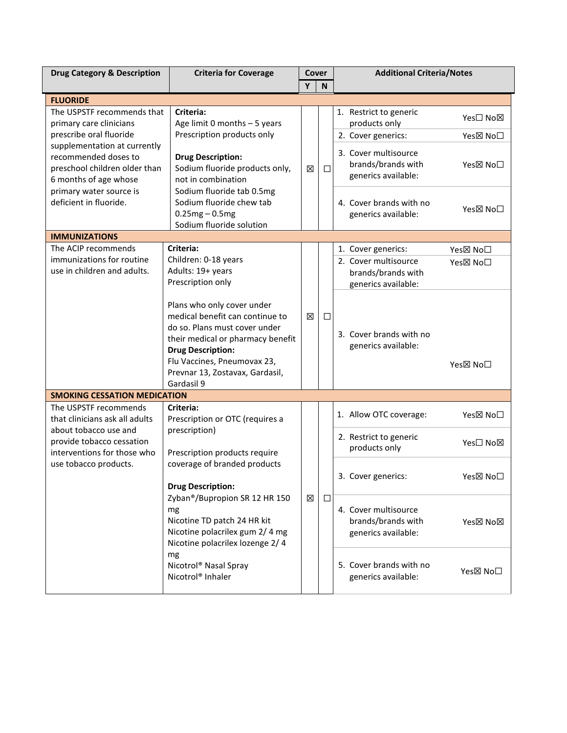| <b>Drug Category &amp; Description</b>                                                                                                                                | <b>Criteria for Coverage</b>                                                                                                                                                                                                                                                                                                                                                      | Cover |              | <b>Additional Criteria/Notes</b>                                                           |  |  |
|-----------------------------------------------------------------------------------------------------------------------------------------------------------------------|-----------------------------------------------------------------------------------------------------------------------------------------------------------------------------------------------------------------------------------------------------------------------------------------------------------------------------------------------------------------------------------|-------|--------------|--------------------------------------------------------------------------------------------|--|--|
|                                                                                                                                                                       |                                                                                                                                                                                                                                                                                                                                                                                   | Y     | $\mathsf{N}$ |                                                                                            |  |  |
| <b>FLUORIDE</b>                                                                                                                                                       |                                                                                                                                                                                                                                                                                                                                                                                   |       |              |                                                                                            |  |  |
| The USPSTF recommends that<br>primary care clinicians                                                                                                                 | Criteria:<br>Age limit 0 months $-5$ years                                                                                                                                                                                                                                                                                                                                        | ⊠     |              | 1. Restrict to generic<br>Yes□ No⊠<br>products only                                        |  |  |
| prescribe oral fluoride                                                                                                                                               | Prescription products only                                                                                                                                                                                                                                                                                                                                                        |       |              | 2. Cover generics:<br>Yes⊠ No <sup>[]</sup>                                                |  |  |
| supplementation at currently<br>recommended doses to<br>preschool children older than<br>6 months of age whose                                                        | <b>Drug Description:</b><br>Sodium fluoride products only,<br>not in combination<br>Sodium fluoride tab 0.5mg<br>Sodium fluoride chew tab<br>$0.25mg - 0.5mg$<br>Sodium fluoride solution                                                                                                                                                                                         |       | $\Box$       | 3. Cover multisource<br>brands/brands with<br>Yes⊠ No <sup>[]</sup><br>generics available: |  |  |
| primary water source is<br>deficient in fluoride.                                                                                                                     |                                                                                                                                                                                                                                                                                                                                                                                   |       |              | 4. Cover brands with no<br>Yes⊠ No <sup>[]</sup><br>generics available:                    |  |  |
| <b>IMMUNIZATIONS</b>                                                                                                                                                  |                                                                                                                                                                                                                                                                                                                                                                                   |       |              |                                                                                            |  |  |
| The ACIP recommends                                                                                                                                                   | Criteria:                                                                                                                                                                                                                                                                                                                                                                         |       |              | 1. Cover generics:<br>Yes⊠ No□                                                             |  |  |
| immunizations for routine<br>use in children and adults.                                                                                                              | Children: 0-18 years<br>Adults: 19+ years<br>Prescription only<br>Plans who only cover under<br>medical benefit can continue to<br>do so. Plans must cover under<br>their medical or pharmacy benefit<br><b>Drug Description:</b><br>Flu Vaccines, Pneumovax 23,<br>Prevnar 13, Zostavax, Gardasil,<br>Gardasil 9                                                                 | 区     |              | 2. Cover multisource<br>Yes⊠ No <sup>[]</sup><br>brands/brands with<br>generics available: |  |  |
|                                                                                                                                                                       |                                                                                                                                                                                                                                                                                                                                                                                   |       | □            | 3. Cover brands with no<br>generics available:<br>Yes⊠ No□                                 |  |  |
| <b>SMOKING CESSATION MEDICATION</b>                                                                                                                                   |                                                                                                                                                                                                                                                                                                                                                                                   |       |              |                                                                                            |  |  |
| The USPSTF recommends<br>that clinicians ask all adults<br>about tobacco use and<br>provide tobacco cessation<br>interventions for those who<br>use tobacco products. | Criteria:<br>Prescription or OTC (requires a<br>prescription)<br>Prescription products require<br>coverage of branded products<br><b>Drug Description:</b><br>Zyban®/Bupropion SR 12 HR 150<br>mg<br>Nicotine TD patch 24 HR kit<br>Nicotine polacrilex gum 2/4 mg<br>Nicotine polacrilex lozenge 2/4<br>mg<br>Nicotrol <sup>®</sup> Nasal Spray<br>Nicotrol <sup>®</sup> Inhaler | 区     |              | 1. Allow OTC coverage:<br>Yes⊠ No□                                                         |  |  |
|                                                                                                                                                                       |                                                                                                                                                                                                                                                                                                                                                                                   |       | $\Box$       | 2. Restrict to generic<br>Yes□ No⊠<br>products only                                        |  |  |
|                                                                                                                                                                       |                                                                                                                                                                                                                                                                                                                                                                                   |       |              | 3. Cover generics:<br>Yes⊠ No□                                                             |  |  |
|                                                                                                                                                                       |                                                                                                                                                                                                                                                                                                                                                                                   |       |              | 4. Cover multisource<br>brands/brands with<br>Yes図 No図<br>generics available:              |  |  |
|                                                                                                                                                                       |                                                                                                                                                                                                                                                                                                                                                                                   |       |              | 5. Cover brands with no<br>Yes⊠ No□<br>generics available:                                 |  |  |